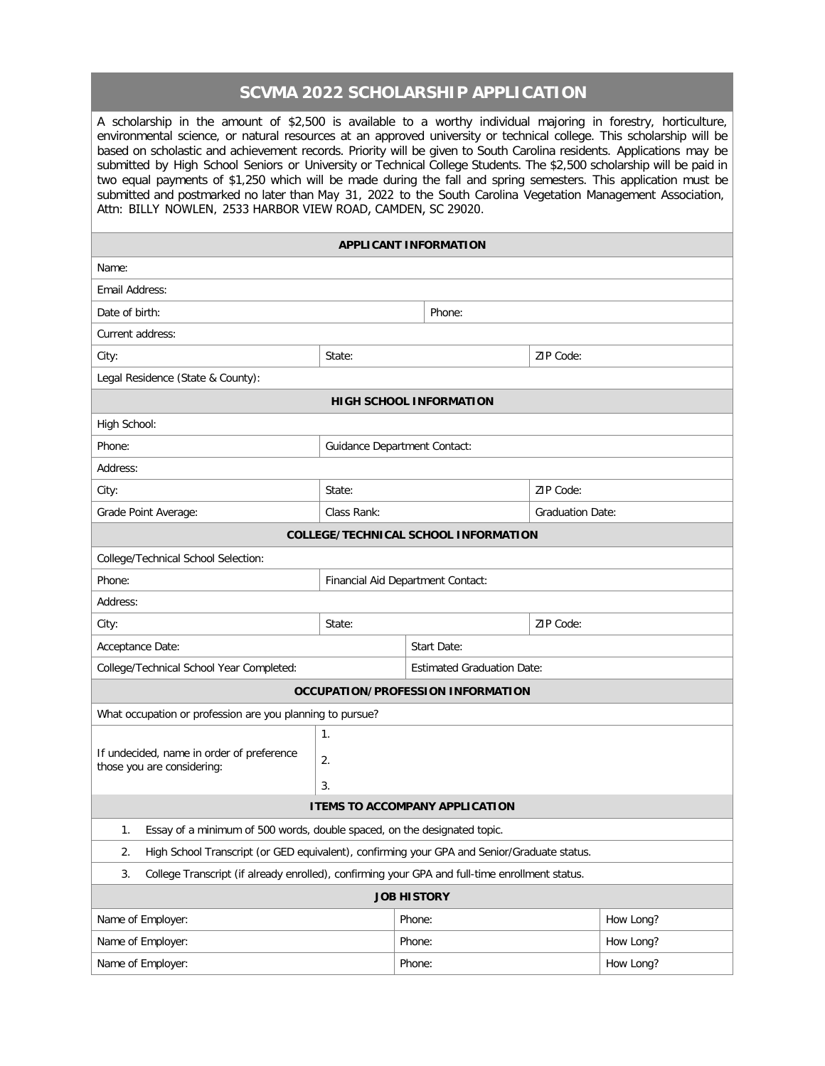## **SCVMA 2022 SCHOLARSHIP APPLICATION**

A scholarship in the amount of \$2,500 is available to a worthy individual majoring in forestry, horticulture, environmental science, or natural resources at an approved university or technical college. This scholarship will be based on scholastic and achievement records. Priority will be given to South Carolina residents. Applications may be submitted by High School Seniors or University or Technical College Students. The \$2,500 scholarship will be paid in two equal payments of \$1,250 which will be made during the fall and spring semesters. This application must be submitted and postmarked no later than May 31, 2022 to the South Carolina Vegetation Management Association, Attn: BILLY NOWLEN, 2533 HARBOR VIEW ROAD, CAMDEN, SC 29020.

| Name:<br>Email Address:<br>Date of birth:<br>Phone:<br>Current address:<br>ZIP Code:<br>State:<br>City:<br>Legal Residence (State & County):<br><b>HIGH SCHOOL INFORMATION</b><br>High School:<br>Phone:<br><b>Guidance Department Contact:</b><br>Address:<br>State:<br>ZIP Code:<br>City:<br>Class Rank:<br>Grade Point Average:<br><b>Graduation Date:</b><br><b>COLLEGE/TECHNICAL SCHOOL INFORMATION</b><br>College/Technical School Selection:<br>Phone:<br>Financial Aid Department Contact:<br>Address:<br>ZIP Code:<br>City:<br>State:<br>Acceptance Date:<br>Start Date:<br>College/Technical School Year Completed:<br><b>Estimated Graduation Date:</b><br>OCCUPATION/PROFESSION INFORMATION<br>What occupation or profession are you planning to pursue?<br>$\mathbf{1}$ .<br>If undecided, name in order of preference<br>2.<br>those you are considering:<br>3.<br><b>ITEMS TO ACCOMPANY APPLICATION</b><br>Essay of a minimum of 500 words, double spaced, on the designated topic.<br>1.<br>High School Transcript (or GED equivalent), confirming your GPA and Senior/Graduate status.<br>2.<br>College Transcript (if already enrolled), confirming your GPA and full-time enrollment status.<br>3.<br><b>JOB HISTORY</b><br>How Long?<br>Name of Employer:<br>Phone:<br>Name of Employer:<br>Phone:<br>How Long?<br>Phone: | <b>APPLICANT INFORMATION</b> |  |  |  |  |           |  |
|-----------------------------------------------------------------------------------------------------------------------------------------------------------------------------------------------------------------------------------------------------------------------------------------------------------------------------------------------------------------------------------------------------------------------------------------------------------------------------------------------------------------------------------------------------------------------------------------------------------------------------------------------------------------------------------------------------------------------------------------------------------------------------------------------------------------------------------------------------------------------------------------------------------------------------------------------------------------------------------------------------------------------------------------------------------------------------------------------------------------------------------------------------------------------------------------------------------------------------------------------------------------------------------------------------------------------------------------------|------------------------------|--|--|--|--|-----------|--|
|                                                                                                                                                                                                                                                                                                                                                                                                                                                                                                                                                                                                                                                                                                                                                                                                                                                                                                                                                                                                                                                                                                                                                                                                                                                                                                                                               |                              |  |  |  |  |           |  |
|                                                                                                                                                                                                                                                                                                                                                                                                                                                                                                                                                                                                                                                                                                                                                                                                                                                                                                                                                                                                                                                                                                                                                                                                                                                                                                                                               |                              |  |  |  |  |           |  |
|                                                                                                                                                                                                                                                                                                                                                                                                                                                                                                                                                                                                                                                                                                                                                                                                                                                                                                                                                                                                                                                                                                                                                                                                                                                                                                                                               |                              |  |  |  |  |           |  |
|                                                                                                                                                                                                                                                                                                                                                                                                                                                                                                                                                                                                                                                                                                                                                                                                                                                                                                                                                                                                                                                                                                                                                                                                                                                                                                                                               |                              |  |  |  |  |           |  |
|                                                                                                                                                                                                                                                                                                                                                                                                                                                                                                                                                                                                                                                                                                                                                                                                                                                                                                                                                                                                                                                                                                                                                                                                                                                                                                                                               |                              |  |  |  |  |           |  |
|                                                                                                                                                                                                                                                                                                                                                                                                                                                                                                                                                                                                                                                                                                                                                                                                                                                                                                                                                                                                                                                                                                                                                                                                                                                                                                                                               |                              |  |  |  |  |           |  |
|                                                                                                                                                                                                                                                                                                                                                                                                                                                                                                                                                                                                                                                                                                                                                                                                                                                                                                                                                                                                                                                                                                                                                                                                                                                                                                                                               |                              |  |  |  |  |           |  |
|                                                                                                                                                                                                                                                                                                                                                                                                                                                                                                                                                                                                                                                                                                                                                                                                                                                                                                                                                                                                                                                                                                                                                                                                                                                                                                                                               |                              |  |  |  |  |           |  |
|                                                                                                                                                                                                                                                                                                                                                                                                                                                                                                                                                                                                                                                                                                                                                                                                                                                                                                                                                                                                                                                                                                                                                                                                                                                                                                                                               |                              |  |  |  |  |           |  |
|                                                                                                                                                                                                                                                                                                                                                                                                                                                                                                                                                                                                                                                                                                                                                                                                                                                                                                                                                                                                                                                                                                                                                                                                                                                                                                                                               |                              |  |  |  |  |           |  |
|                                                                                                                                                                                                                                                                                                                                                                                                                                                                                                                                                                                                                                                                                                                                                                                                                                                                                                                                                                                                                                                                                                                                                                                                                                                                                                                                               |                              |  |  |  |  |           |  |
|                                                                                                                                                                                                                                                                                                                                                                                                                                                                                                                                                                                                                                                                                                                                                                                                                                                                                                                                                                                                                                                                                                                                                                                                                                                                                                                                               |                              |  |  |  |  |           |  |
|                                                                                                                                                                                                                                                                                                                                                                                                                                                                                                                                                                                                                                                                                                                                                                                                                                                                                                                                                                                                                                                                                                                                                                                                                                                                                                                                               |                              |  |  |  |  |           |  |
|                                                                                                                                                                                                                                                                                                                                                                                                                                                                                                                                                                                                                                                                                                                                                                                                                                                                                                                                                                                                                                                                                                                                                                                                                                                                                                                                               |                              |  |  |  |  |           |  |
|                                                                                                                                                                                                                                                                                                                                                                                                                                                                                                                                                                                                                                                                                                                                                                                                                                                                                                                                                                                                                                                                                                                                                                                                                                                                                                                                               |                              |  |  |  |  |           |  |
|                                                                                                                                                                                                                                                                                                                                                                                                                                                                                                                                                                                                                                                                                                                                                                                                                                                                                                                                                                                                                                                                                                                                                                                                                                                                                                                                               |                              |  |  |  |  |           |  |
|                                                                                                                                                                                                                                                                                                                                                                                                                                                                                                                                                                                                                                                                                                                                                                                                                                                                                                                                                                                                                                                                                                                                                                                                                                                                                                                                               |                              |  |  |  |  |           |  |
|                                                                                                                                                                                                                                                                                                                                                                                                                                                                                                                                                                                                                                                                                                                                                                                                                                                                                                                                                                                                                                                                                                                                                                                                                                                                                                                                               |                              |  |  |  |  |           |  |
|                                                                                                                                                                                                                                                                                                                                                                                                                                                                                                                                                                                                                                                                                                                                                                                                                                                                                                                                                                                                                                                                                                                                                                                                                                                                                                                                               |                              |  |  |  |  |           |  |
|                                                                                                                                                                                                                                                                                                                                                                                                                                                                                                                                                                                                                                                                                                                                                                                                                                                                                                                                                                                                                                                                                                                                                                                                                                                                                                                                               |                              |  |  |  |  |           |  |
|                                                                                                                                                                                                                                                                                                                                                                                                                                                                                                                                                                                                                                                                                                                                                                                                                                                                                                                                                                                                                                                                                                                                                                                                                                                                                                                                               |                              |  |  |  |  |           |  |
|                                                                                                                                                                                                                                                                                                                                                                                                                                                                                                                                                                                                                                                                                                                                                                                                                                                                                                                                                                                                                                                                                                                                                                                                                                                                                                                                               |                              |  |  |  |  |           |  |
|                                                                                                                                                                                                                                                                                                                                                                                                                                                                                                                                                                                                                                                                                                                                                                                                                                                                                                                                                                                                                                                                                                                                                                                                                                                                                                                                               |                              |  |  |  |  |           |  |
|                                                                                                                                                                                                                                                                                                                                                                                                                                                                                                                                                                                                                                                                                                                                                                                                                                                                                                                                                                                                                                                                                                                                                                                                                                                                                                                                               |                              |  |  |  |  |           |  |
|                                                                                                                                                                                                                                                                                                                                                                                                                                                                                                                                                                                                                                                                                                                                                                                                                                                                                                                                                                                                                                                                                                                                                                                                                                                                                                                                               |                              |  |  |  |  |           |  |
|                                                                                                                                                                                                                                                                                                                                                                                                                                                                                                                                                                                                                                                                                                                                                                                                                                                                                                                                                                                                                                                                                                                                                                                                                                                                                                                                               |                              |  |  |  |  |           |  |
|                                                                                                                                                                                                                                                                                                                                                                                                                                                                                                                                                                                                                                                                                                                                                                                                                                                                                                                                                                                                                                                                                                                                                                                                                                                                                                                                               |                              |  |  |  |  |           |  |
|                                                                                                                                                                                                                                                                                                                                                                                                                                                                                                                                                                                                                                                                                                                                                                                                                                                                                                                                                                                                                                                                                                                                                                                                                                                                                                                                               |                              |  |  |  |  |           |  |
|                                                                                                                                                                                                                                                                                                                                                                                                                                                                                                                                                                                                                                                                                                                                                                                                                                                                                                                                                                                                                                                                                                                                                                                                                                                                                                                                               |                              |  |  |  |  |           |  |
|                                                                                                                                                                                                                                                                                                                                                                                                                                                                                                                                                                                                                                                                                                                                                                                                                                                                                                                                                                                                                                                                                                                                                                                                                                                                                                                                               |                              |  |  |  |  |           |  |
|                                                                                                                                                                                                                                                                                                                                                                                                                                                                                                                                                                                                                                                                                                                                                                                                                                                                                                                                                                                                                                                                                                                                                                                                                                                                                                                                               |                              |  |  |  |  |           |  |
|                                                                                                                                                                                                                                                                                                                                                                                                                                                                                                                                                                                                                                                                                                                                                                                                                                                                                                                                                                                                                                                                                                                                                                                                                                                                                                                                               | Name of Employer:            |  |  |  |  | How Long? |  |